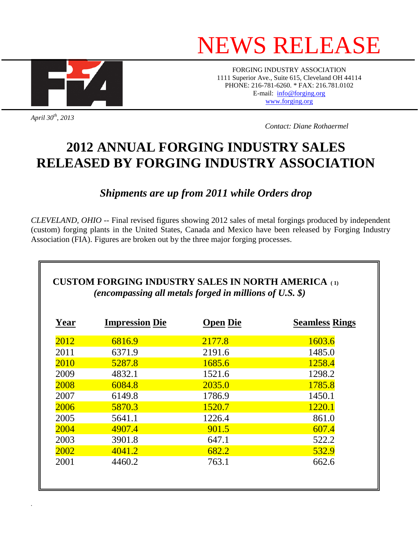# NEWS RELEASE



FORGING INDUSTRY ASSOCIATION 1111 Superior Ave., Suite 615, Cleveland OH 44114 PHONE: 216-781-6260. \* FAX: 216.781.0102 E-mail: [info@forging.org](mailto:info@forging.org) [www.forging.org](http://www.forging.org/)

*April 30th, 2013* 

*.* 

 *Contact: Diane Rothaermel* 

## **2012 ANNUAL FORGING INDUSTRY SALES RELEASED BY FORGING INDUSTRY ASSOCIATION**

### *Shipments are up from 2011 while Orders drop*

*CLEVELAND, OHIO* -- Final revised figures showing 2012 sales of metal forgings produced by independent (custom) forging plants in the United States, Canada and Mexico have been released by Forging Industry Association (FIA). Figures are broken out by the three major forging processes.

| <b>Year</b> | <b>Impression Die</b> | <b>Open Die</b> | <b>Seamless Rings</b> |
|-------------|-----------------------|-----------------|-----------------------|
| 2012        | 6816.9                | 2177.8          | 1603.6                |
| 2011        | 6371.9                | 2191.6          | 1485.0                |
| 2010        | 5287.8                | 1685.6          | 1258.4                |
| 2009        | 4832.1                | 1521.6          | 1298.2                |
| 2008        | 6084.8                | 2035.0          | 1785.8                |
| 2007        | 6149.8                | 1786.9          | 1450.1                |
| 2006        | 5870.3                | 1520.7          | 1220.1                |
| 2005        | 5641.1                | 1226.4          | 861.0                 |
| 2004        | 4907.4                | 901.5           | 607.4                 |
| 2003        | 3901.8                | 647.1           | 522.2                 |
| 2002        | 4041.2                | 682.2           | 532.9                 |
| 2001        | 4460.2                | 763.1           | 662.6                 |